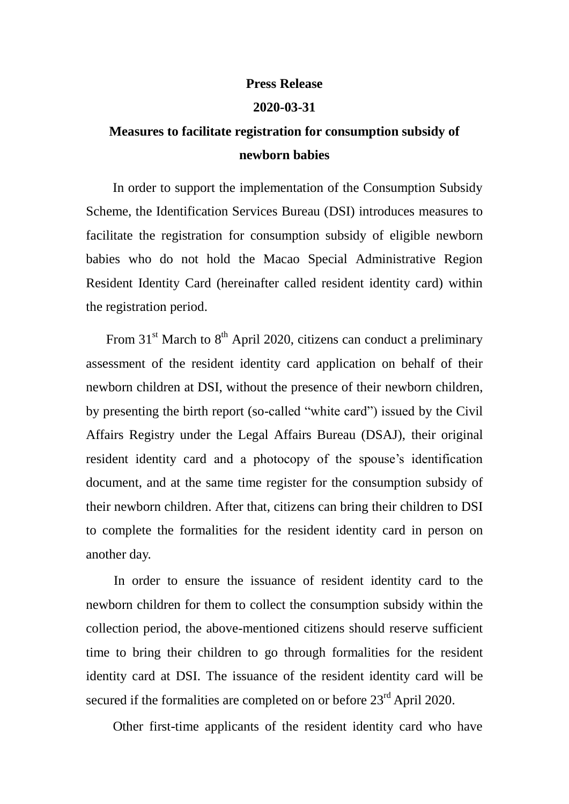## **Press Release**

## **2020-03-31**

## **Measures to facilitate registration for consumption subsidy of newborn babies**

 In order to support the implementation of the Consumption Subsidy Scheme, the Identification Services Bureau (DSI) introduces measures to facilitate the registration for consumption subsidy of eligible newborn babies who do not hold the Macao Special Administrative Region Resident Identity Card (hereinafter called resident identity card) within the registration period.

From  $31<sup>st</sup>$  March to  $8<sup>th</sup>$  April 2020, citizens can conduct a preliminary assessment of the resident identity card application on behalf of their newborn children at DSI, without the presence of their newborn children, by presenting the birth report (so-called "white card") issued by the Civil Affairs Registry under the Legal Affairs Bureau (DSAJ), their original resident identity card and a photocopy of the spouse's identification document, and at the same time register for the consumption subsidy of their newborn children. After that, citizens can bring their children to DSI to complete the formalities for the resident identity card in person on another day.

In order to ensure the issuance of resident identity card to the newborn children for them to collect the consumption subsidy within the collection period, the above-mentioned citizens should reserve sufficient time to bring their children to go through formalities for the resident identity card at DSI. The issuance of the resident identity card will be secured if the formalities are completed on or before 23<sup>rd</sup> April 2020.

Other first-time applicants of the resident identity card who have